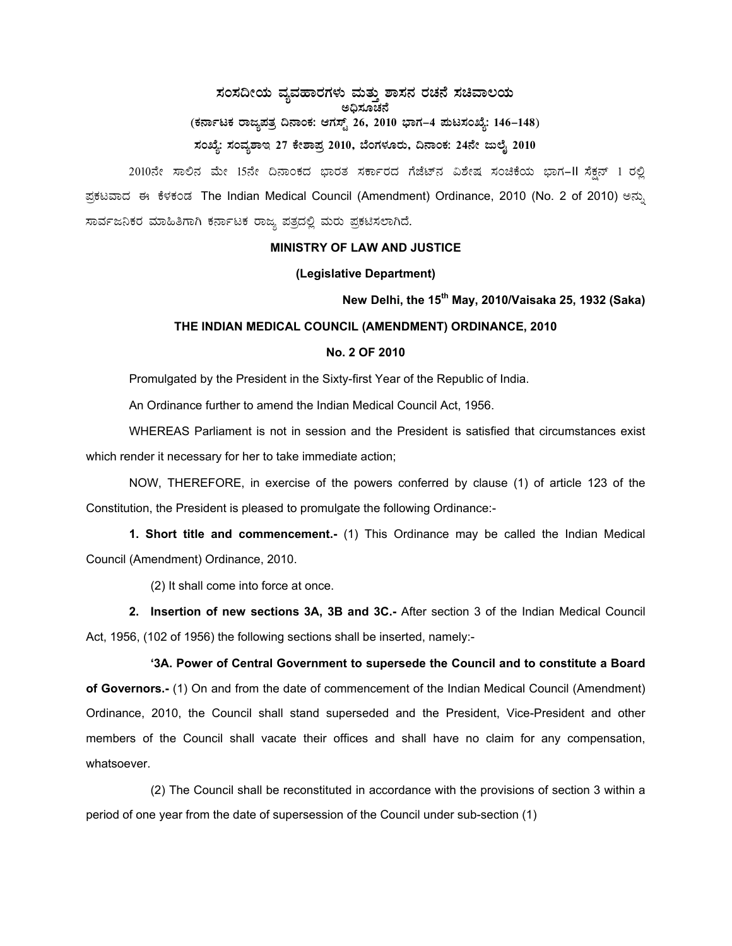# **¸ÀA¸À¢ÃAiÀÄ ªÀåªÀºÁgÀUÀ¼ÀÄ ªÀÄvÀÄÛ ±Á¸À£À gÀZÀ£É ¸ÀaªÁ®AiÀÄ C¢ü¸ÀÆZÀ£É**  (ಕರ್ನಾಟಕ ರಾಜ್ಯಪತ್ರ ದಿನಾಂಕ: ಆಗಸ್ಟ್ 26, 2010 ಭಾಗ–4 **ಮಟಸಂಖ್ಯೆ: 146–148**) ಸಂಖ್ಯೆ: ಸಂವ್ಯಶಾಇ 27 ಕೇಶಾಪ್ರ 2010, ಬೆಂಗಳೂರು, ದಿನಾಂಕ: 24ನೇ ಜುಲೈ 2010

2010ನೇ ಸಾಲಿನ ಮೇ 15ನೇ ದಿನಾಂಕದ ಭಾರತ ಸರ್ಕಾರದ ಗೆಜೆಟ್ನ ವಿಶೇಷ ಸಂಚಿಕೆಯ ಭಾಗ-II ಸೆಕ್ಷನ್ 1 ರಲ್ಲಿ ಪ್ರಕಟವಾದ ಈ ಕೆಳಕಂಡ The Indian Medical Council (Amendment) Ordinance, 2010 (No. 2 of 2010) ಅನ್ಸು ಸಾರ್ವಜನಿಕರ ಮಾಹಿತಿಗಾಗಿ ಕರ್ನಾಟಕ ರಾಜ್ಯ ಪತ್ರದಲ್ಲಿ ಮರು ಪ್ರಕಟಿಸಲಾಗಿದೆ.

#### **MINISTRY OF LAW AND JUSTICE**

#### **(Legislative Department)**

## **New Delhi, the 15th May, 2010/Vaisaka 25, 1932 (Saka)**

## **THE INDIAN MEDICAL COUNCIL (AMENDMENT) ORDINANCE, 2010**

### **No. 2 OF 2010**

Promulgated by the President in the Sixty-first Year of the Republic of India.

An Ordinance further to amend the Indian Medical Council Act, 1956.

WHEREAS Parliament is not in session and the President is satisfied that circumstances exist which render it necessary for her to take immediate action;

NOW, THEREFORE, in exercise of the powers conferred by clause (1) of article 123 of the Constitution, the President is pleased to promulgate the following Ordinance:-

**1. Short title and commencement.-** (1) This Ordinance may be called the Indian Medical Council (Amendment) Ordinance, 2010.

(2) It shall come into force at once.

**2. Insertion of new sections 3A, 3B and 3C.-** After section 3 of the Indian Medical Council Act, 1956, (102 of 1956) the following sections shall be inserted, namely:-

 **'3A. Power of Central Government to supersede the Council and to constitute a Board of Governors.-** (1) On and from the date of commencement of the Indian Medical Council (Amendment) Ordinance, 2010, the Council shall stand superseded and the President, Vice-President and other members of the Council shall vacate their offices and shall have no claim for any compensation, whatsoever.

 (2) The Council shall be reconstituted in accordance with the provisions of section 3 within a period of one year from the date of supersession of the Council under sub-section (1)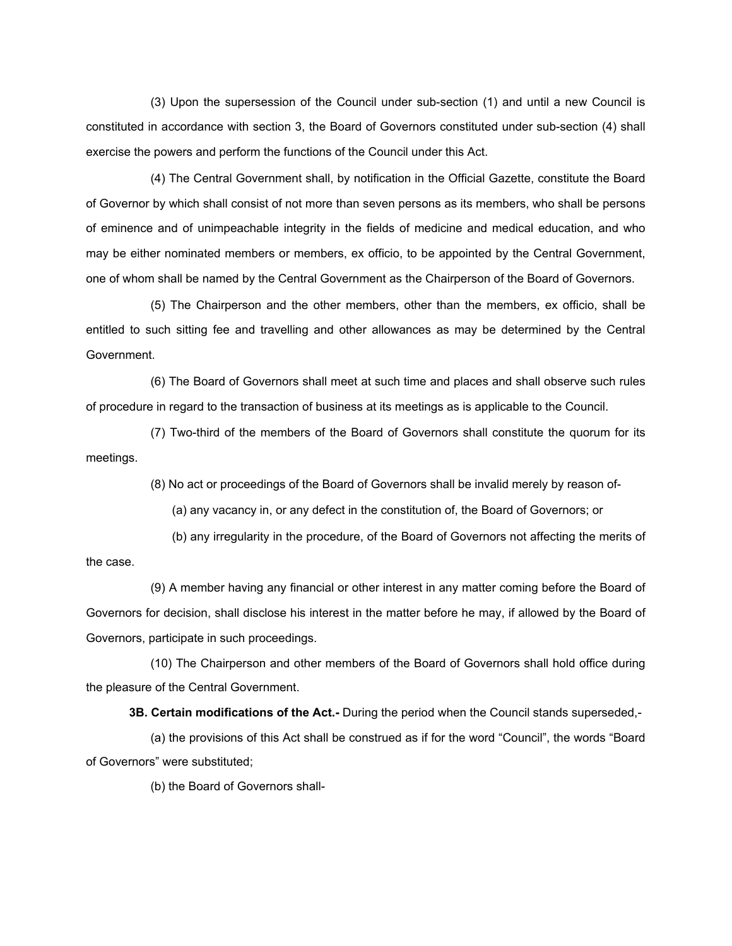(3) Upon the supersession of the Council under sub-section (1) and until a new Council is constituted in accordance with section 3, the Board of Governors constituted under sub-section (4) shall exercise the powers and perform the functions of the Council under this Act.

 (4) The Central Government shall, by notification in the Official Gazette, constitute the Board of Governor by which shall consist of not more than seven persons as its members, who shall be persons of eminence and of unimpeachable integrity in the fields of medicine and medical education, and who may be either nominated members or members, ex officio, to be appointed by the Central Government, one of whom shall be named by the Central Government as the Chairperson of the Board of Governors.

 (5) The Chairperson and the other members, other than the members, ex officio, shall be entitled to such sitting fee and travelling and other allowances as may be determined by the Central Government.

 (6) The Board of Governors shall meet at such time and places and shall observe such rules of procedure in regard to the transaction of business at its meetings as is applicable to the Council.

 (7) Two-third of the members of the Board of Governors shall constitute the quorum for its meetings.

(8) No act or proceedings of the Board of Governors shall be invalid merely by reason of-

(a) any vacancy in, or any defect in the constitution of, the Board of Governors; or

 (b) any irregularity in the procedure, of the Board of Governors not affecting the merits of the case.

 (9) A member having any financial or other interest in any matter coming before the Board of Governors for decision, shall disclose his interest in the matter before he may, if allowed by the Board of Governors, participate in such proceedings.

 (10) The Chairperson and other members of the Board of Governors shall hold office during the pleasure of the Central Government.

**3B. Certain modifications of the Act.-** During the period when the Council stands superseded,-

 (a) the provisions of this Act shall be construed as if for the word "Council", the words "Board of Governors" were substituted;

(b) the Board of Governors shall-